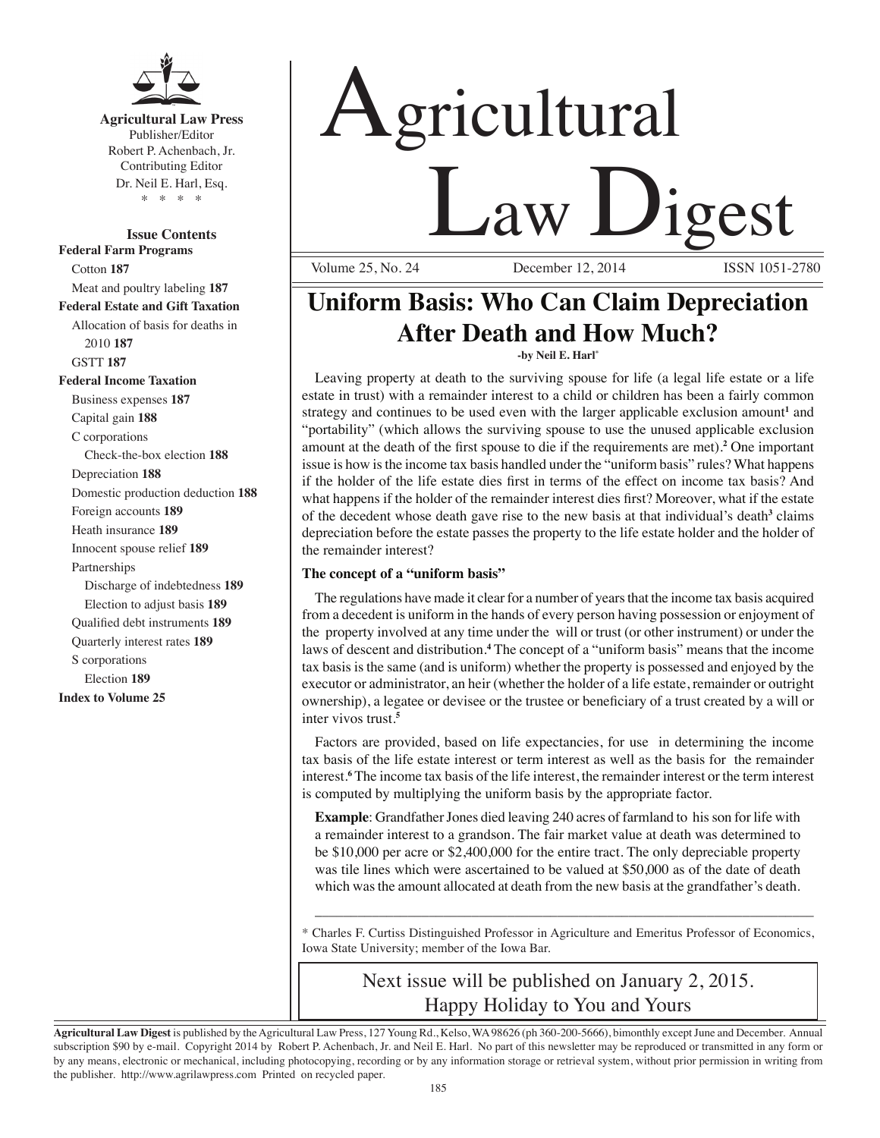

**Agricultural Law Press** Publisher/Editor Robert P. Achenbach, Jr. Contributing Editor Dr. Neil E. Harl, Esq. \* \* \* \*

**Issue Contents Federal Farm Programs** Cotton **187** Meat and poultry labeling **187 Federal Estate and Gift Taxation** Allocation of basis for deaths in 2010 **187** GSTT **187 Federal Income Taxation** Business expenses **187** Capital gain **188** C corporations Check-the-box election **188** Depreciation **188** Domestic production deduction **188** Foreign accounts **189** Heath insurance **189** Innocent spouse relief **189** Partnerships Discharge of indebtedness **189** Election to adjust basis **189** Qualified debt instruments **189** Quarterly interest rates **189** S corporations Election **189 Index to Volume 25**

# Agricultural **Law Ligest**

December 12, 2014

# **Uniform Basis: Who Can Claim Depreciation After Death and How Much? -by Neil E. Harl\***

Leaving property at death to the surviving spouse for life (a legal life estate or a life estate in trust) with a remainder interest to a child or children has been a fairly common strategy and continues to be used even with the larger applicable exclusion amount<sup>1</sup> and "portability" (which allows the surviving spouse to use the unused applicable exclusion amount at the death of the first spouse to die if the requirements are met).**<sup>2</sup>** One important issue is how is the income tax basis handled under the "uniform basis" rules? What happens if the holder of the life estate dies first in terms of the effect on income tax basis? And what happens if the holder of the remainder interest dies first? Moreover, what if the estate of the decedent whose death gave rise to the new basis at that individual's death<sup>3</sup> claims depreciation before the estate passes the property to the life estate holder and the holder of the remainder interest?

# **The concept of a "uniform basis"**

The regulations have made it clear for a number of years that the income tax basis acquired from a decedent is uniform in the hands of every person having possession or enjoyment of the property involved at any time under the will or trust (or other instrument) or under the laws of descent and distribution.**<sup>4</sup>** The concept of a "uniform basis" means that the income tax basis is the same (and is uniform) whether the property is possessed and enjoyed by the executor or administrator, an heir (whether the holder of a life estate, remainder or outright ownership), a legatee or devisee or the trustee or beneficiary of a trust created by a will or inter vivos trust.**<sup>5</sup>**

Factors are provided, based on life expectancies, for use in determining the income tax basis of the life estate interest or term interest as well as the basis for the remainder interest.**<sup>6</sup>** The income tax basis of the life interest, the remainder interest or the term interest is computed by multiplying the uniform basis by the appropriate factor.

**Example**: Grandfather Jones died leaving 240 acres of farmland to his son for life with a remainder interest to a grandson. The fair market value at death was determined to be \$10,000 per acre or \$2,400,000 for the entire tract. The only depreciable property was tile lines which were ascertained to be valued at \$50,000 as of the date of death which was the amount allocated at death from the new basis at the grandfather's death.

\* Charles F. Curtiss Distinguished Professor in Agriculture and Emeritus Professor of Economics, Iowa State University; member of the Iowa Bar.

\_\_\_\_\_\_\_\_\_\_\_\_\_\_\_\_\_\_\_\_\_\_\_\_\_\_\_\_\_\_\_\_\_\_\_\_\_\_\_\_\_\_\_\_\_\_\_\_\_\_\_\_\_\_\_\_\_\_\_\_\_\_\_\_\_\_\_\_\_\_

# Next issue will be published on January 2, 2015. Happy Holiday to You and Yours

**Agricultural Law Digest** is published by the Agricultural Law Press, 127 Young Rd., Kelso, WA 98626 (ph 360-200-5666), bimonthly except June and December. Annual subscription \$90 by e-mail. Copyright 2014 by Robert P. Achenbach, Jr. and Neil E. Harl. No part of this newsletter may be reproduced or transmitted in any form or by any means, electronic or mechanical, including photocopying, recording or by any information storage or retrieval system, without prior permission in writing from the publisher. http://www.agrilawpress.com Printed on recycled paper.